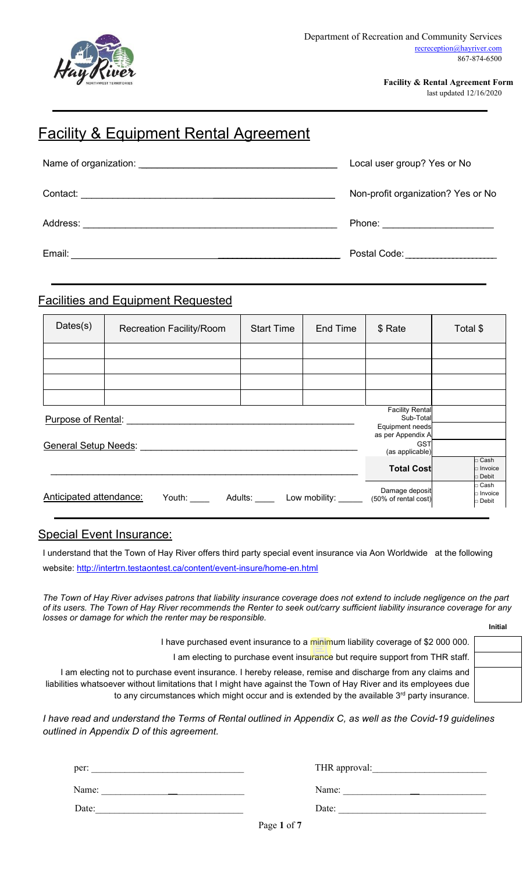

**Facility & Rental Agreement Form**

last updated 12/16/2020

# **Facility & Equipment Rental Agreement**

| Name of organization: Name of organization:                                                                                                                                                                                                      | Local user group? Yes or No        |  |
|--------------------------------------------------------------------------------------------------------------------------------------------------------------------------------------------------------------------------------------------------|------------------------------------|--|
| Contact:<br><u>and the contract of the contract of the contract of the contract of the contract of the contract of the contract of the contract of the contract of the contract of the contract of the contract of the contract of the contr</u> | Non-profit organization? Yes or No |  |
| Address:                                                                                                                                                                                                                                         | Phone: <u>________________</u>     |  |
| Email:                                                                                                                                                                                                                                           | Postal Code:                       |  |

### Facilities and Equipment Requested

| Dates(s)                                                     | <b>Recreation Facility/Room</b>                                         | <b>Start Time</b> | End Time | \$ Rate                             | Total \$                                 |
|--------------------------------------------------------------|-------------------------------------------------------------------------|-------------------|----------|-------------------------------------|------------------------------------------|
|                                                              |                                                                         |                   |          |                                     |                                          |
|                                                              |                                                                         |                   |          |                                     |                                          |
|                                                              |                                                                         |                   |          |                                     |                                          |
|                                                              |                                                                         |                   |          |                                     |                                          |
| Purpose of Rental:                                           |                                                                         |                   |          | <b>Facility Rental</b><br>Sub-Total |                                          |
| Equipment needs<br>as per Appendix A                         |                                                                         |                   |          |                                     |                                          |
| <b>GST</b><br><b>General Setup Needs:</b><br>(as applicable) |                                                                         |                   |          |                                     |                                          |
|                                                              |                                                                         |                   |          | <b>Total Cost</b>                   | $\Box$ Cash<br>$\Box$ Invoice<br>□ Debit |
| Anticipated attendance:                                      | Youth: _______ Adults: ______ Low mobility: ______ (50% of rental cost) |                   |          | Damage deposit                      | □ Cash<br>□ Invoice<br>□ Debit           |

### Special Event Insurance:

I understand that the Town of Hay River offers third party special event insurance via Aon Worldwide at the following website: [http://intertrn.testaontest.ca/content/event](http://intertrn.testaontest.ca/content/event-insure/home-en.html)-insure/home-en.html

*The Town of Hay River advises patrons that liability insurance coverage does not extend to include negligence on the part of its users. The Town of Hay River recommends the Renter to seek out/carry sufficient liability insurance coverage for any losses or damage for which the renter may be responsible.* **Initial**

I have purchased event insurance to a minimum liability coverage of \$2 000 000.

I am electing to purchase event insurance but require support from THR staff.

I am electing not to purchase event insurance. I hereby release, remise and discharge from any claims and liabilities whatsoever without limitations that I might have against the Town of Hay River and its employees due to any circumstances which might occur and is extended by the available  $3<sup>rd</sup>$  party insurance.

*I have read and understand the Terms of Rental outlined in Appendix C, as well as the Covid-19 guidelines outlined in Appendix D of this agreement.*

| per:  | THR approval: |
|-------|---------------|
| Name: | Name:         |
| Date: | Date:         |

Page **1** of **7**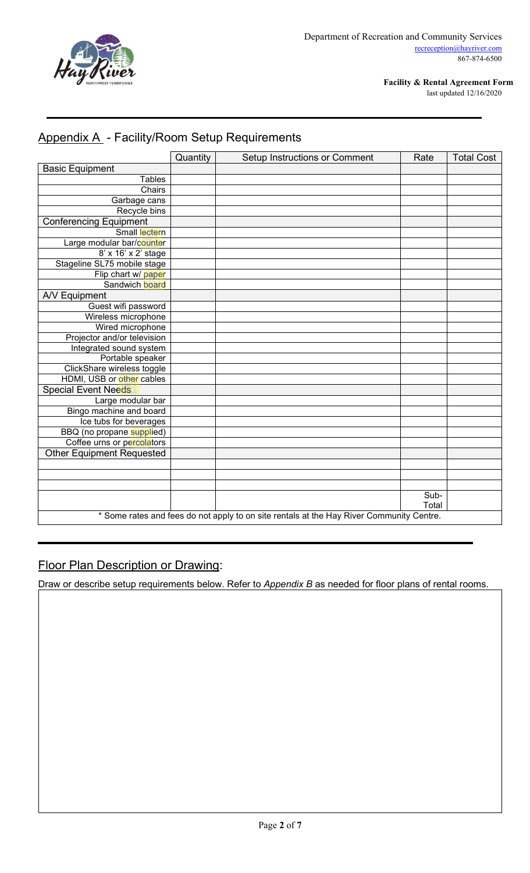

**Facility & Rental Agreement Form**

last updated 12/16/2020

# Appendix A - Facility/Room Setup Requirements

|                                                                                          | Quantity | Setup Instructions or Comment | Rate          | <b>Total Cost</b> |
|------------------------------------------------------------------------------------------|----------|-------------------------------|---------------|-------------------|
| <b>Basic Equipment</b>                                                                   |          |                               |               |                   |
| <b>Tables</b>                                                                            |          |                               |               |                   |
| Chairs                                                                                   |          |                               |               |                   |
| Garbage cans                                                                             |          |                               |               |                   |
| Recycle bins                                                                             |          |                               |               |                   |
| <b>Conferencing Equipment</b>                                                            |          |                               |               |                   |
| Small lectern                                                                            |          |                               |               |                   |
| Large modular bar/counter                                                                |          |                               |               |                   |
| 8' x 16' x 2' stage                                                                      |          |                               |               |                   |
| Stageline SL75 mobile stage                                                              |          |                               |               |                   |
| Flip chart w/ paper                                                                      |          |                               |               |                   |
| Sandwich board                                                                           |          |                               |               |                   |
| A/V Equipment                                                                            |          |                               |               |                   |
| Guest wifi password                                                                      |          |                               |               |                   |
| Wireless microphone                                                                      |          |                               |               |                   |
| Wired microphone                                                                         |          |                               |               |                   |
| Projector and/or television                                                              |          |                               |               |                   |
| Integrated sound system                                                                  |          |                               |               |                   |
| Portable speaker                                                                         |          |                               |               |                   |
| ClickShare wireless toggle                                                               |          |                               |               |                   |
| HDMI, USB or other cables                                                                |          |                               |               |                   |
| <b>Special Event Needs</b>                                                               |          |                               |               |                   |
| Large modular bar                                                                        |          |                               |               |                   |
| Bingo machine and board                                                                  |          |                               |               |                   |
| Ice tubs for beverages                                                                   |          |                               |               |                   |
| BBQ (no propane supplied)                                                                |          |                               |               |                   |
| Coffee urns or percolators                                                               |          |                               |               |                   |
| <b>Other Equipment Requested</b>                                                         |          |                               |               |                   |
|                                                                                          |          |                               |               |                   |
|                                                                                          |          |                               |               |                   |
|                                                                                          |          |                               |               |                   |
|                                                                                          |          |                               | Sub-<br>Total |                   |
| * Some rates and fees do not apply to on site rentals at the Hay River Community Centre. |          |                               |               |                   |

## Floor Plan Description or Drawing:

Draw or describe setup requirements below. Refer to *Appendix B* as needed for floor plans of rental rooms.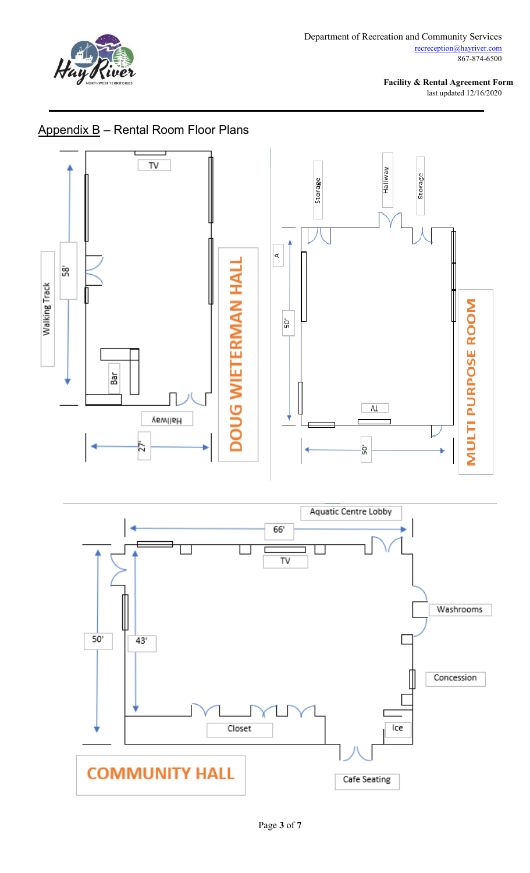

**Facility & Rental Agreement Form** last updated 12/16/2020



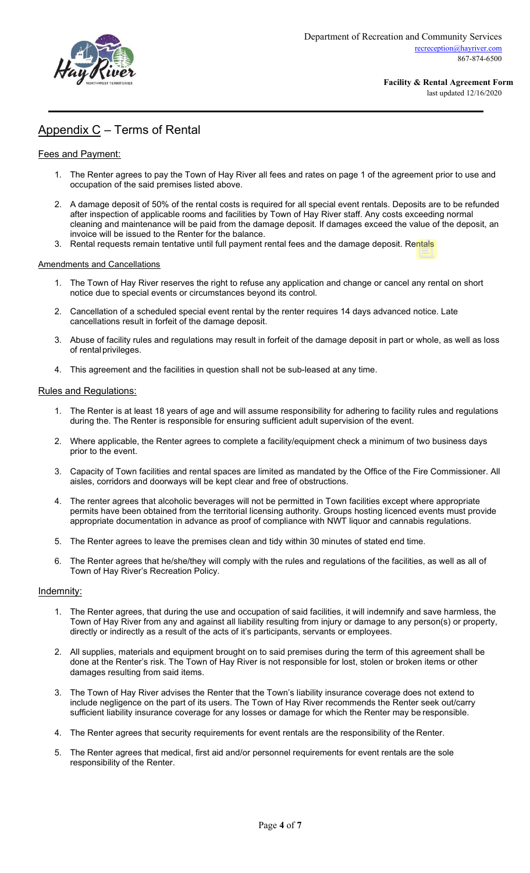

### Appendix C – Terms of Rental

### Fees and Payment:

- 1. The Renter agrees to pay the Town of Hay River all fees and rates on page 1 of the agreement prior to use and occupation of the said premises listed above.
- 2. A damage deposit of 50% of the rental costs is required for all special event rentals. Deposits are to be refunded after inspection of applicable rooms and facilities by Town of Hay River staff. Any costs exceeding normal cleaning and maintenance will be paid from the damage deposit. If damages exceed the value of the deposit, an invoice will be issued to the Renter for the balance.
- 3. Rental requests remain tentative until full payment rental fees and the damage deposit. Rentals

#### Amendments and Cancellations

- 1. The Town of Hay River reserves the right to refuse any application and change or cancel any rental on short notice due to special events or circumstances beyond its control.
- 2. Cancellation of a scheduled special event rental by the renter requires 14 days advanced notice. Late cancellations result in forfeit of the damage deposit.
- 3. Abuse of facility rules and regulations may result in forfeit of the damage deposit in part or whole, as well as loss of rental privileges.
- 4. This agreement and the facilities in question shall not be sub-leased at any time.

#### Rules and Regulations:

- 1. The Renter is at least 18 years of age and will assume responsibility for adhering to facility rules and regulations during the. The Renter is responsible for ensuring sufficient adult supervision of the event.
- 2. Where applicable, the Renter agrees to complete a facility/equipment check a minimum of two business days prior to the event.
- 3. Capacity of Town facilities and rental spaces are limited as mandated by the Office of the Fire Commissioner. All aisles, corridors and doorways will be kept clear and free of obstructions.
- 4. The renter agrees that alcoholic beverages will not be permitted in Town facilities except where appropriate permits have been obtained from the territorial licensing authority. Groups hosting licenced events must provide appropriate documentation in advance as proof of compliance with NWT liquor and cannabis regulations.
- 5. The Renter agrees to leave the premises clean and tidy within 30 minutes of stated end time.
- 6. The Renter agrees that he/she/they will comply with the rules and regulations of the facilities, as well as all of Town of Hay River's Recreation Policy.

#### Indemnity:

- 1. The Renter agrees, that during the use and occupation of said facilities, it will indemnify and save harmless, the Town of Hay River from any and against all liability resulting from injury or damage to any person(s) or property, directly or indirectly as a result of the acts of it's participants, servants or employees.
- 2. All supplies, materials and equipment brought on to said premises during the term of this agreement shall be done at the Renter's risk. The Town of Hay River is not responsible for lost, stolen or broken items or other damages resulting from said items.
- 3. The Town of Hay River advises the Renter that the Town's liability insurance coverage does not extend to include negligence on the part of its users. The Town of Hay River recommends the Renter seek out/carry sufficient liability insurance coverage for any losses or damage for which the Renter may be responsible.
- 4. The Renter agrees that security requirements for event rentals are the responsibility of the Renter.
- 5. The Renter agrees that medical, first aid and/or personnel requirements for event rentals are the sole responsibility of the Renter.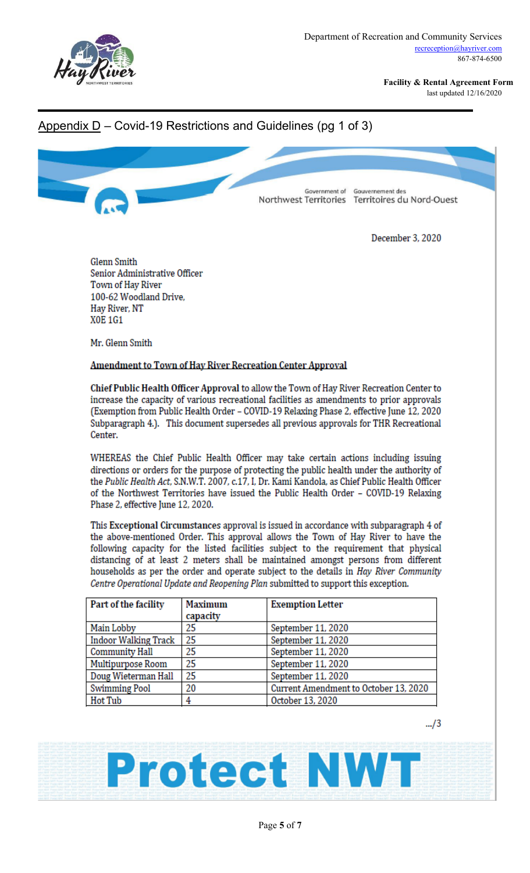

**Facility & Rental Agreement Form** last updated 12/16/2020

### Appendix  $D$  – Covid-19 Restrictions and Guidelines (pg 1 of 3)



December 3, 2020

**Glenn Smith** Senior Administrative Officer Town of Hay River 100-62 Woodland Drive, Hay River, NT **XOE 1G1** 

Mr. Glenn Smith

### Amendment to Town of Hay River Recreation Center Approval

Chief Public Health Officer Approval to allow the Town of Hay River Recreation Center to increase the capacity of various recreational facilities as amendments to prior approvals (Exemption from Public Health Order - COVID-19 Relaxing Phase 2, effective June 12, 2020 Subparagraph 4.). This document supersedes all previous approvals for THR Recreational Center.

WHEREAS the Chief Public Health Officer may take certain actions including issuing directions or orders for the purpose of protecting the public health under the authority of the Public Health Act, S.N.W.T. 2007, c.17, I, Dr. Kami Kandola, as Chief Public Health Officer of the Northwest Territories have issued the Public Health Order - COVID-19 Relaxing Phase 2, effective June 12, 2020.

This Exceptional Circumstances approval is issued in accordance with subparagraph 4 of the above-mentioned Order. This approval allows the Town of Hay River to have the following capacity for the listed facilities subject to the requirement that physical distancing of at least 2 meters shall be maintained amongst persons from different households as per the order and operate subject to the details in Hay River Community Centre Operational Update and Reopening Plan submitted to support this exception.

| Part of the facility        | <b>Maximum</b> | <b>Exemption Letter</b>               |
|-----------------------------|----------------|---------------------------------------|
|                             | capacity       |                                       |
| Main Lobby                  | 25             | September 11, 2020                    |
| <b>Indoor Walking Track</b> | 25             | September 11, 2020                    |
| <b>Community Hall</b>       | 25             | September 11, 2020                    |
| Multipurpose Room           | 25             | September 11, 2020                    |
| Doug Wieterman Hall         | 25             | September 11, 2020                    |
| <b>Swimming Pool</b>        | 20             | Current Amendment to October 13, 2020 |
| Hot Tub                     |                | October 13, 2020                      |

**Protect NWT** 

 $-./3$ 

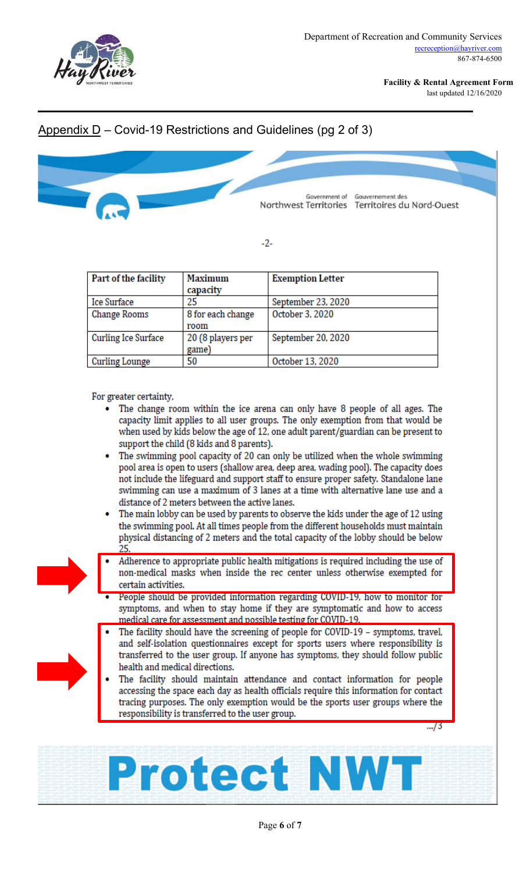

**Facility & Rental Agreement Form**

last updated 12/16/2020

### Appendix D – Covid-19 Restrictions and Guidelines (pg 2 of 3)



 $-2-$ 

| Part of the facility       | <b>Maximum</b>    | <b>Exemption Letter</b> |
|----------------------------|-------------------|-------------------------|
|                            | capacity          |                         |
| <b>Ice Surface</b>         | 25                | September 23, 2020      |
| <b>Change Rooms</b>        | 8 for each change | October 3, 2020         |
|                            | room              |                         |
| <b>Curling Ice Surface</b> | 20 (8 players per | September 20, 2020      |
|                            | game)             |                         |
| <b>Curling Lounge</b>      | 50                | October 13, 2020        |

For greater certainty,

- The change room within the ice arena can only have 8 people of all ages. The capacity limit applies to all user groups. The only exemption from that would be when used by kids below the age of 12, one adult parent/guardian can be present to support the child (8 kids and 8 parents).
- The swimming pool capacity of 20 can only be utilized when the whole swimming pool area is open to users (shallow area, deep area, wading pool). The capacity does not include the lifeguard and support staff to ensure proper safety. Standalone lane swimming can use a maximum of 3 lanes at a time with alternative lane use and a distance of 2 meters between the active lanes.
- The main lobby can be used by parents to observe the kids under the age of 12 using the swimming pool. At all times people from the different households must maintain physical distancing of 2 meters and the total capacity of the lobby should be below 25.
- 
- Adherence to appropriate public health mitigations is required including the use of non-medical masks when inside the rec center unless otherwise exempted for certain activities.
- People should be provided information regarding COVID-19, how to monitor for symptoms, and when to stay home if they are symptomatic and how to access medical care for assessment and possible testing for COVID-19.
- 
- The facility should have the screening of people for COVID-19 symptoms, travel, and self-isolation questionnaires except for sports users where responsibility is transferred to the user group. If anyone has symptoms, they should follow public health and medical directions.
	- The facility should maintain attendance and contact information for people accessing the space each day as health officials require this information for contact tracing purposes. The only exemption would be the sports user groups where the responsibility is transferred to the user group.

 $\frac{1}{2}$